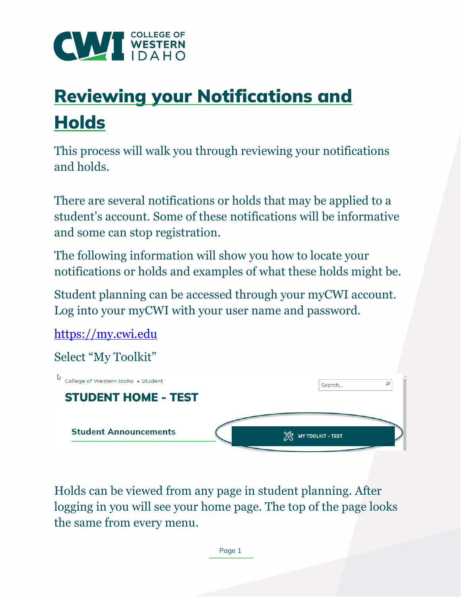

## Reviewing your Notifications and **Holds**

This process will walk you through reviewing your notifications and holds.

There are several notifications or holds that may be applied to a student's account. Some of these notifications will be informative and some can stop registration.

The following information will show you how to locate your notifications or holds and examples of what these holds might be.

Student planning can be accessed through your myCWI account. Log into your myCWI with your user name and password.

[https://my.cwi.edu](https://my.cwi.edu/)  Select "My Toolkit" ि<br>© College of Western Idaho ▶ Student ρ Search... **STUDENT HOME - TEST Student Announcements XX** MY TOOLKIT - TEST

Holds can be viewed from any page in student planning. After logging in you will see your home page. The top of the page looks the same from every menu.

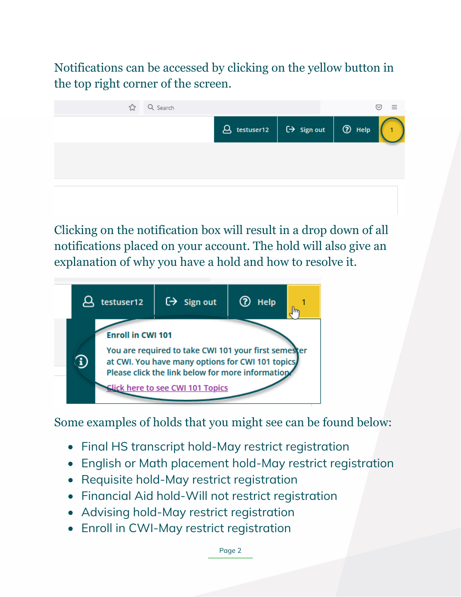Notifications can be accessed by clicking on the yellow button in the top right corner of the screen.



Clicking on the notification box will result in a drop down of all notifications placed on your account. The hold will also give an explanation of why you have a hold and how to resolve it.



Some examples of holds that you might see can be found below:

- Final HS transcript hold-May restrict registration
- English or Math placement hold-May restrict registration
- Requisite hold-May restrict registration
- Financial Aid hold-Will not restrict registration
- Advising hold-May restrict registration
- Enroll in CWI-May restrict registration